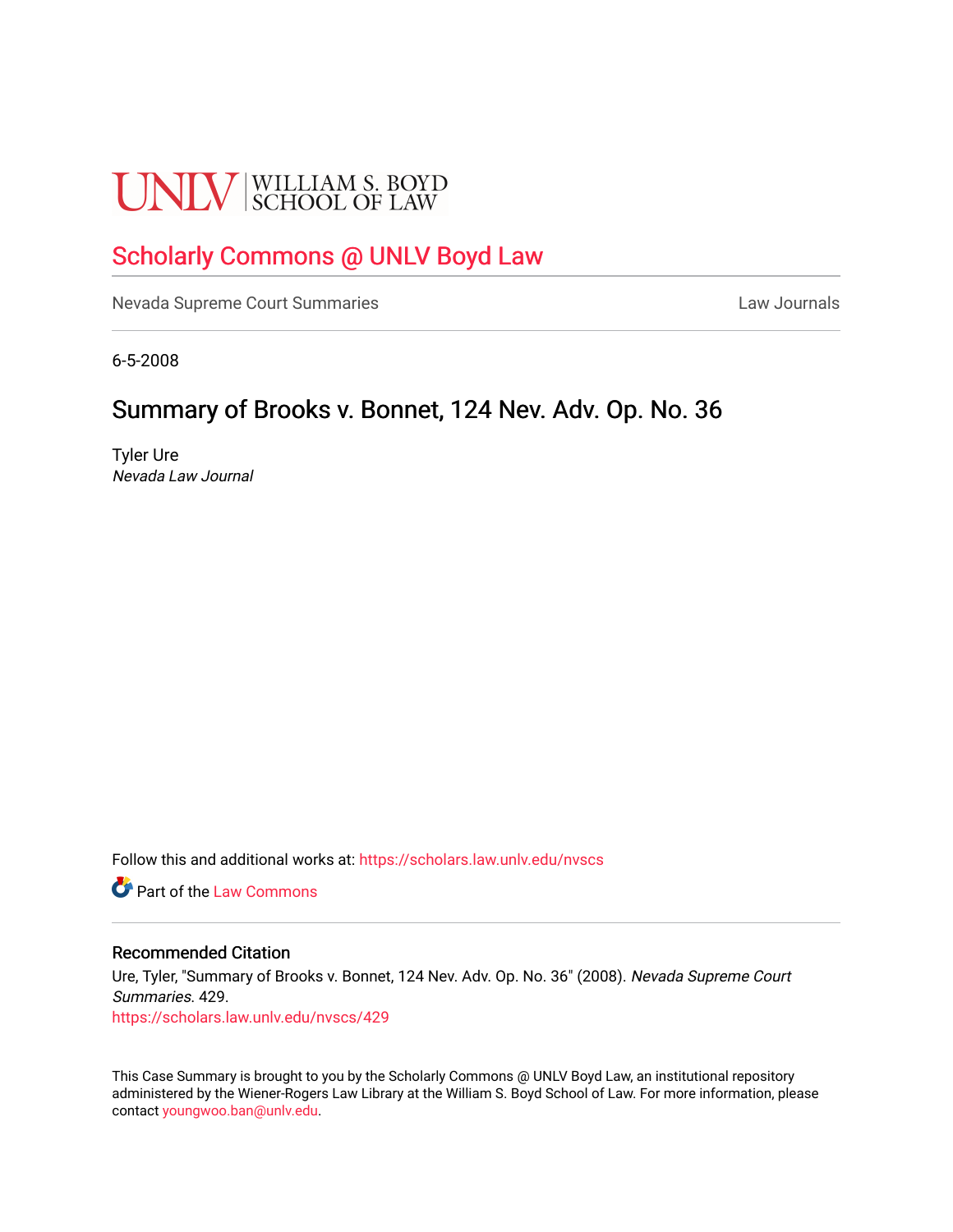# **UNLV** SCHOOL OF LAW

## [Scholarly Commons @ UNLV Boyd Law](https://scholars.law.unlv.edu/)

[Nevada Supreme Court Summaries](https://scholars.law.unlv.edu/nvscs) **Law Journals** Law Journals

6-5-2008

## Summary of Brooks v. Bonnet, 124 Nev. Adv. Op. No. 36

Tyler Ure Nevada Law Journal

Follow this and additional works at: [https://scholars.law.unlv.edu/nvscs](https://scholars.law.unlv.edu/nvscs?utm_source=scholars.law.unlv.edu%2Fnvscs%2F429&utm_medium=PDF&utm_campaign=PDFCoverPages)

**C** Part of the [Law Commons](http://network.bepress.com/hgg/discipline/578?utm_source=scholars.law.unlv.edu%2Fnvscs%2F429&utm_medium=PDF&utm_campaign=PDFCoverPages)

#### Recommended Citation

Ure, Tyler, "Summary of Brooks v. Bonnet, 124 Nev. Adv. Op. No. 36" (2008). Nevada Supreme Court Summaries. 429. [https://scholars.law.unlv.edu/nvscs/429](https://scholars.law.unlv.edu/nvscs/429?utm_source=scholars.law.unlv.edu%2Fnvscs%2F429&utm_medium=PDF&utm_campaign=PDFCoverPages)

This Case Summary is brought to you by the Scholarly Commons @ UNLV Boyd Law, an institutional repository administered by the Wiener-Rogers Law Library at the William S. Boyd School of Law. For more information, please contact [youngwoo.ban@unlv.edu](mailto:youngwoo.ban@unlv.edu).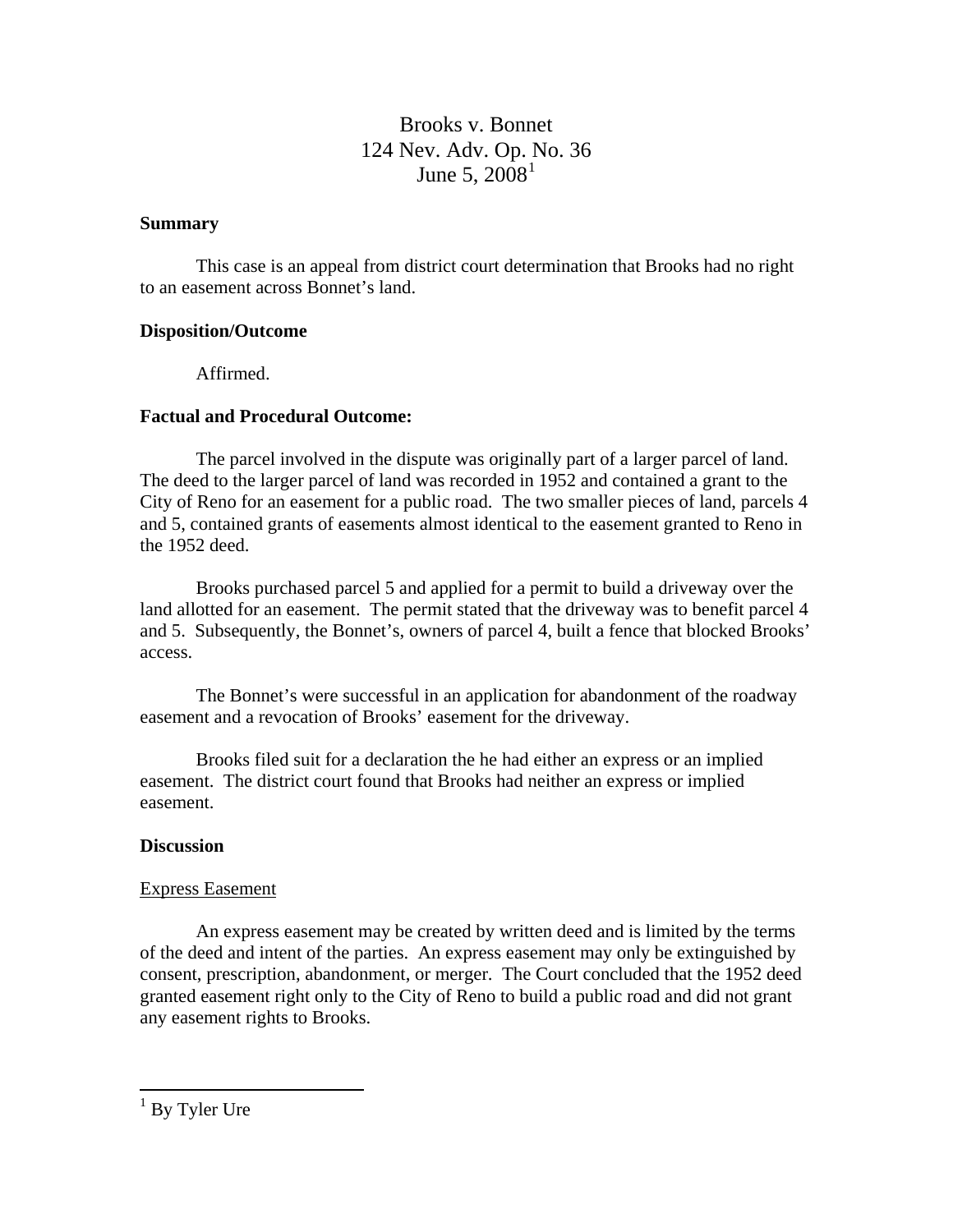### Brooks v. Bonnet 124 Nev. Adv. Op. [N](#page-1-0)o. 36 June 5,  $2008<sup>1</sup>$  $2008<sup>1</sup>$  $2008<sup>1</sup>$

#### **Summary**

This case is an appeal from district court determination that Brooks had no right to an easement across Bonnet's land.

#### **Disposition/Outcome**

Affirmed.

#### **Factual and Procedural Outcome:**

The parcel involved in the dispute was originally part of a larger parcel of land. The deed to the larger parcel of land was recorded in 1952 and contained a grant to the City of Reno for an easement for a public road. The two smaller pieces of land, parcels 4 and 5, contained grants of easements almost identical to the easement granted to Reno in the 1952 deed.

 Brooks purchased parcel 5 and applied for a permit to build a driveway over the land allotted for an easement. The permit stated that the driveway was to benefit parcel 4 and 5. Subsequently, the Bonnet's, owners of parcel 4, built a fence that blocked Brooks' access.

 The Bonnet's were successful in an application for abandonment of the roadway easement and a revocation of Brooks' easement for the driveway.

 Brooks filed suit for a declaration the he had either an express or an implied easement. The district court found that Brooks had neither an express or implied easement.

#### **Discussion**

#### Express Easement

 An express easement may be created by written deed and is limited by the terms of the deed and intent of the parties. An express easement may only be extinguished by consent, prescription, abandonment, or merger. The Court concluded that the 1952 deed granted easement right only to the City of Reno to build a public road and did not grant any easement rights to Brooks.

<span id="page-1-0"></span>1 By Tyler Ure